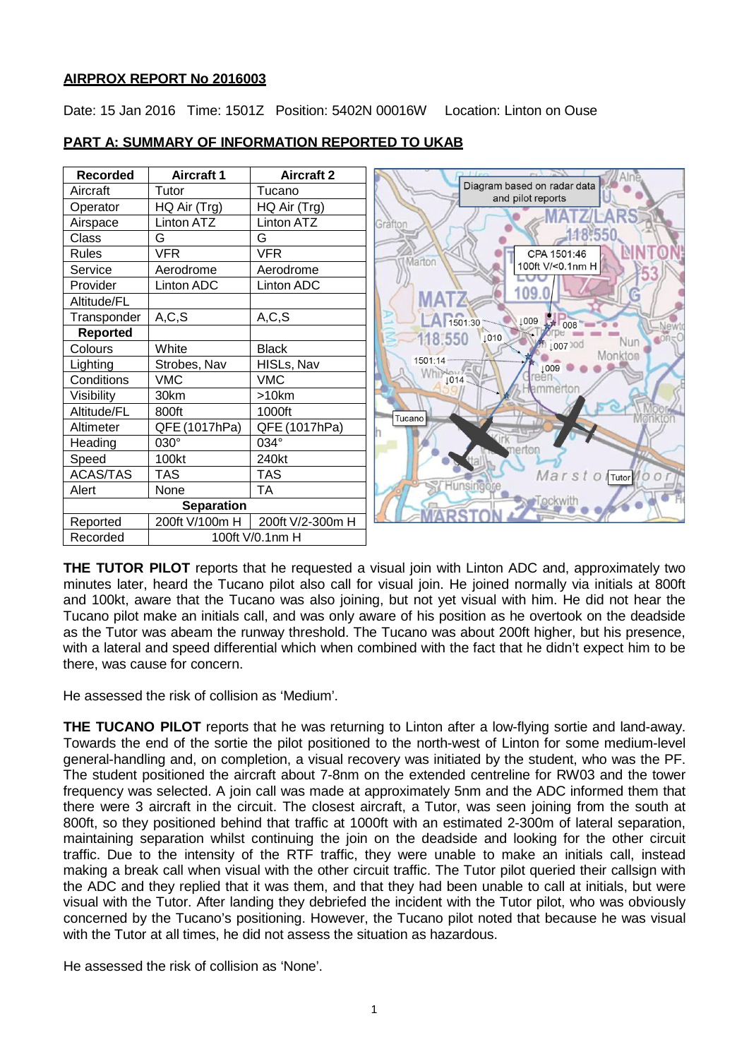## **AIRPROX REPORT No 2016003**

Date: 15 Jan 2016 Time: 1501Z Position: 5402N 00016W Location: Linton on Ouse

| <b>Recorded</b>   | <b>Aircraft 1</b> | <b>Aircraft 2</b> |                                                  |
|-------------------|-------------------|-------------------|--------------------------------------------------|
| Aircraft          | Tutor             | Tucano            | Diagram based on radar data<br>and pilot reports |
| Operator          | HQ Air (Trg)      | HQ Air (Trg)      |                                                  |
| Airspace          | Linton ATZ        | Linton ATZ        | Gräftor                                          |
| Class             | G                 | G                 |                                                  |
| <b>Rules</b>      | <b>VFR</b>        | <b>VFR</b>        | CPA 1501:46<br>Marton                            |
| Service           | Aerodrome         | Aerodrome         | 100ft V/<0.1nm H                                 |
| Provider          | Linton ADC        | Linton ADC        |                                                  |
| Altitude/FL       |                   |                   | 109.                                             |
| Transponder       | A, C, S           | A, C, S           | 1501:30<br>↓009<br>008                           |
| <b>Reported</b>   |                   |                   | Newt<br>118.550<br>1010                          |
| Colours           | White             | <b>Black</b>      | Nun<br>100730d<br>Monkton                        |
| Lighting          | Strobes, Nav      | HISLs, Nav        | 1501:14<br>1009                                  |
| Conditions        | <b>VMC</b>        | <b>VMC</b>        | 1014                                             |
| Visibility        | 30km              | >10km             | ammertor                                         |
| Altitude/FL       | 800ft             | 1000ft            | Tucano                                           |
| Altimeter         | QFE (1017hPa)     | QFE (1017hPa)     |                                                  |
| Heading           | $030^\circ$       | 034°              | erton                                            |
| Speed             | 100kt             | 240kt             |                                                  |
| <b>ACAS/TAS</b>   | <b>TAS</b>        | TAS               | Marst<br>Tutor 0 C                               |
| Alert             | None              | <b>TA</b>         | <b>Hunsingo</b>                                  |
| <b>Separation</b> |                   |                   |                                                  |
| Reported          | 200ft V/100m H    | 200ft V/2-300m H  |                                                  |
| Recorded          | 100ft V/0.1nm H   |                   |                                                  |

# **PART A: SUMMARY OF INFORMATION REPORTED TO UKAB**

**THE TUTOR PILOT** reports that he requested a visual join with Linton ADC and, approximately two minutes later, heard the Tucano pilot also call for visual join. He joined normally via initials at 800ft and 100kt, aware that the Tucano was also joining, but not yet visual with him. He did not hear the Tucano pilot make an initials call, and was only aware of his position as he overtook on the deadside as the Tutor was abeam the runway threshold. The Tucano was about 200ft higher, but his presence, with a lateral and speed differential which when combined with the fact that he didn't expect him to be there, was cause for concern.

He assessed the risk of collision as 'Medium'.

**THE TUCANO PILOT** reports that he was returning to Linton after a low-flying sortie and land-away. Towards the end of the sortie the pilot positioned to the north-west of Linton for some medium-level general-handling and, on completion, a visual recovery was initiated by the student, who was the PF. The student positioned the aircraft about 7-8nm on the extended centreline for RW03 and the tower frequency was selected. A join call was made at approximately 5nm and the ADC informed them that there were 3 aircraft in the circuit. The closest aircraft, a Tutor, was seen joining from the south at 800ft, so they positioned behind that traffic at 1000ft with an estimated 2-300m of lateral separation, maintaining separation whilst continuing the join on the deadside and looking for the other circuit traffic. Due to the intensity of the RTF traffic, they were unable to make an initials call, instead making a break call when visual with the other circuit traffic. The Tutor pilot queried their callsign with the ADC and they replied that it was them, and that they had been unable to call at initials, but were visual with the Tutor. After landing they debriefed the incident with the Tutor pilot, who was obviously concerned by the Tucano's positioning. However, the Tucano pilot noted that because he was visual with the Tutor at all times, he did not assess the situation as hazardous.

He assessed the risk of collision as 'None'.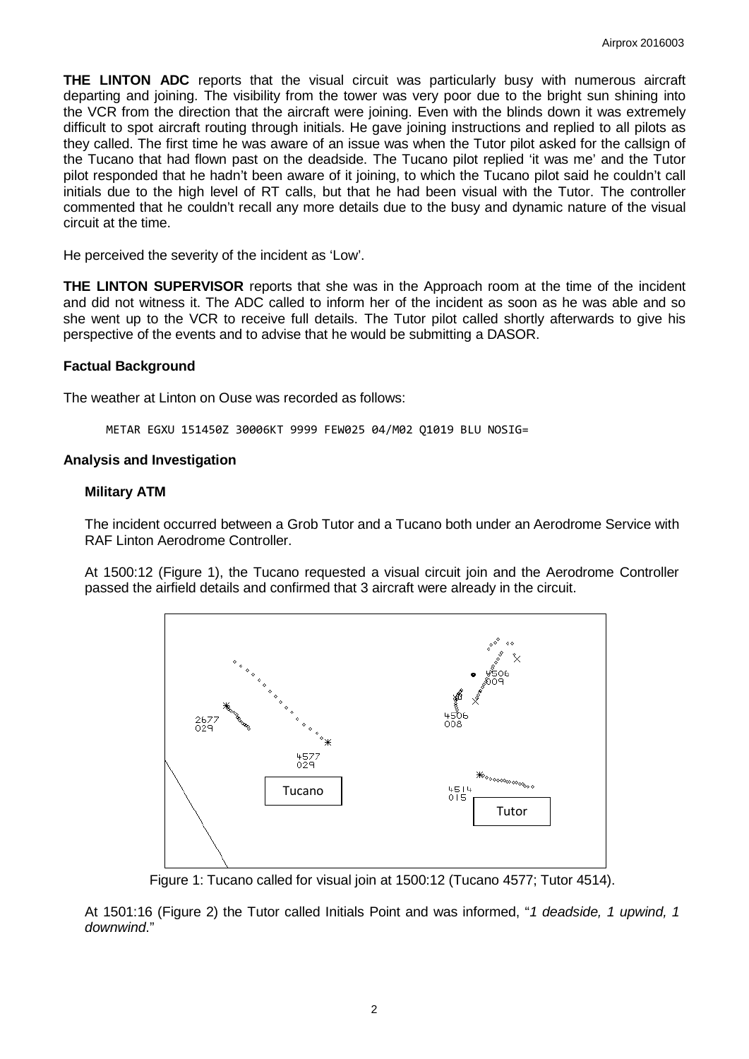**THE LINTON ADC** reports that the visual circuit was particularly busy with numerous aircraft departing and joining. The visibility from the tower was very poor due to the bright sun shining into the VCR from the direction that the aircraft were joining. Even with the blinds down it was extremely difficult to spot aircraft routing through initials. He gave joining instructions and replied to all pilots as they called. The first time he was aware of an issue was when the Tutor pilot asked for the callsign of the Tucano that had flown past on the deadside. The Tucano pilot replied 'it was me' and the Tutor pilot responded that he hadn't been aware of it joining, to which the Tucano pilot said he couldn't call initials due to the high level of RT calls, but that he had been visual with the Tutor. The controller commented that he couldn't recall any more details due to the busy and dynamic nature of the visual circuit at the time.

He perceived the severity of the incident as 'Low'.

**THE LINTON SUPERVISOR** reports that she was in the Approach room at the time of the incident and did not witness it. The ADC called to inform her of the incident as soon as he was able and so she went up to the VCR to receive full details. The Tutor pilot called shortly afterwards to give his perspective of the events and to advise that he would be submitting a DASOR.

### **Factual Background**

The weather at Linton on Ouse was recorded as follows:

METAR EGXU 151450Z 30006KT 9999 FEW025 04/M02 Q1019 BLU NOSIG=

### **Analysis and Investigation**

### **Military ATM**

The incident occurred between a Grob Tutor and a Tucano both under an Aerodrome Service with RAF Linton Aerodrome Controller.

At 1500:12 (Figure 1), the Tucano requested a visual circuit join and the Aerodrome Controller passed the airfield details and confirmed that 3 aircraft were already in the circuit.



Figure 1: Tucano called for visual join at 1500:12 (Tucano 4577; Tutor 4514).

At 1501:16 (Figure 2) the Tutor called Initials Point and was informed, "*1 deadside, 1 upwind, 1 downwind*."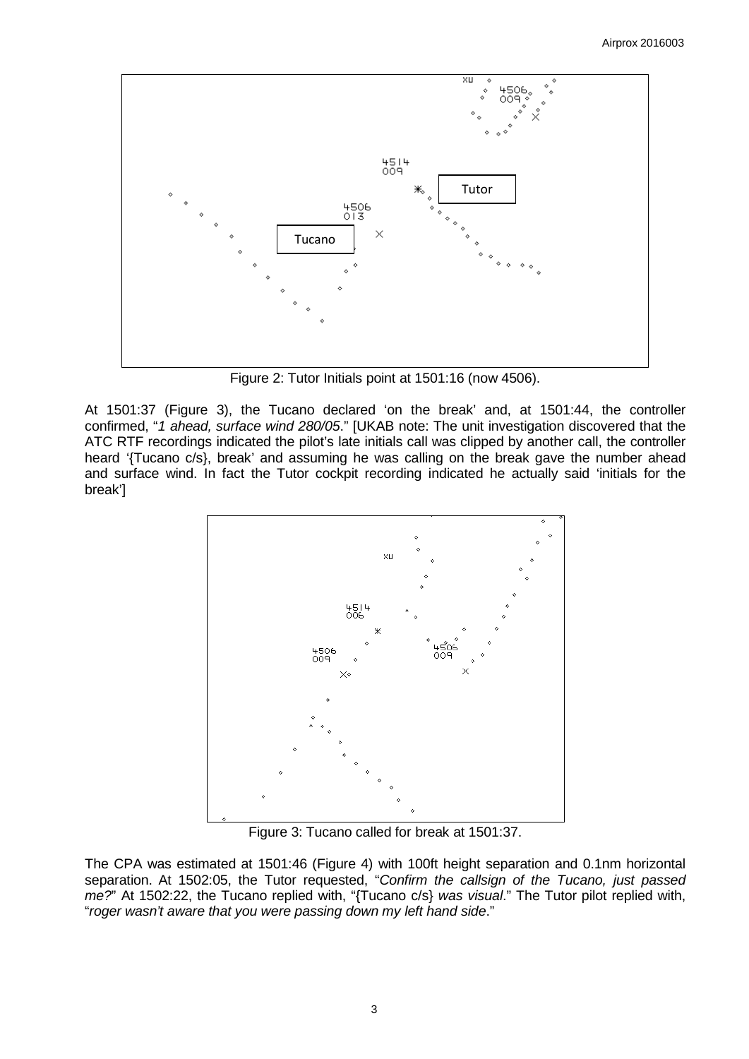

Figure 2: Tutor Initials point at 1501:16 (now 4506).

At 1501:37 (Figure 3), the Tucano declared 'on the break' and, at 1501:44, the controller confirmed, "*1 ahead, surface wind 280/05*." [UKAB note: The unit investigation discovered that the ATC RTF recordings indicated the pilot's late initials call was clipped by another call, the controller heard '{Tucano c/s}, break' and assuming he was calling on the break gave the number ahead and surface wind. In fact the Tutor cockpit recording indicated he actually said 'initials for the break']



Figure 3: Tucano called for break at 1501:37.

The CPA was estimated at 1501:46 (Figure 4) with 100ft height separation and 0.1nm horizontal separation. At 1502:05, the Tutor requested, "*Confirm the callsign of the Tucano, just passed me?*" At 1502:22, the Tucano replied with, "{Tucano c/s} *was visual*." The Tutor pilot replied with, "*roger wasn't aware that you were passing down my left hand side*."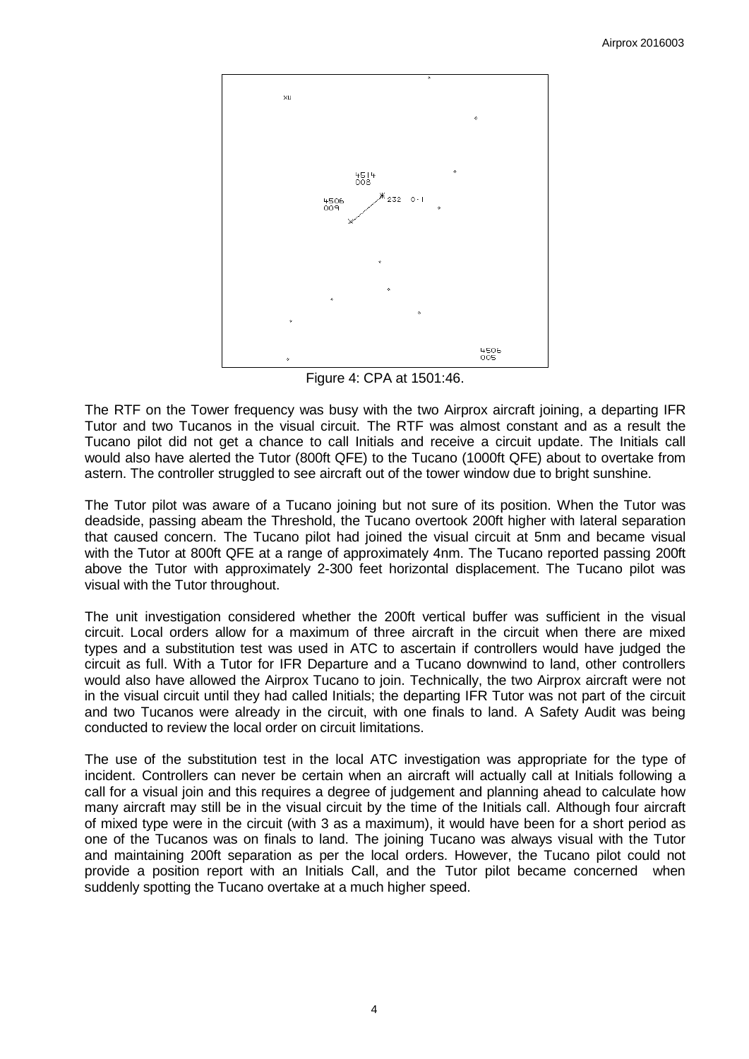

Figure 4: CPA at 1501:46.

The RTF on the Tower frequency was busy with the two Airprox aircraft joining, a departing IFR Tutor and two Tucanos in the visual circuit. The RTF was almost constant and as a result the Tucano pilot did not get a chance to call Initials and receive a circuit update. The Initials call would also have alerted the Tutor (800ft QFE) to the Tucano (1000ft QFE) about to overtake from astern. The controller struggled to see aircraft out of the tower window due to bright sunshine.

The Tutor pilot was aware of a Tucano joining but not sure of its position. When the Tutor was deadside, passing abeam the Threshold, the Tucano overtook 200ft higher with lateral separation that caused concern. The Tucano pilot had joined the visual circuit at 5nm and became visual with the Tutor at 800ft QFE at a range of approximately 4nm. The Tucano reported passing 200ft above the Tutor with approximately 2-300 feet horizontal displacement. The Tucano pilot was visual with the Tutor throughout.

The unit investigation considered whether the 200ft vertical buffer was sufficient in the visual circuit. Local orders allow for a maximum of three aircraft in the circuit when there are mixed types and a substitution test was used in ATC to ascertain if controllers would have judged the circuit as full. With a Tutor for IFR Departure and a Tucano downwind to land, other controllers would also have allowed the Airprox Tucano to join. Technically, the two Airprox aircraft were not in the visual circuit until they had called Initials; the departing IFR Tutor was not part of the circuit and two Tucanos were already in the circuit, with one finals to land. A Safety Audit was being conducted to review the local order on circuit limitations.

The use of the substitution test in the local ATC investigation was appropriate for the type of incident. Controllers can never be certain when an aircraft will actually call at Initials following a call for a visual join and this requires a degree of judgement and planning ahead to calculate how many aircraft may still be in the visual circuit by the time of the Initials call. Although four aircraft of mixed type were in the circuit (with 3 as a maximum), it would have been for a short period as one of the Tucanos was on finals to land. The joining Tucano was always visual with the Tutor and maintaining 200ft separation as per the local orders. However, the Tucano pilot could not provide a position report with an Initials Call, and the Tutor pilot became concerned when suddenly spotting the Tucano overtake at a much higher speed.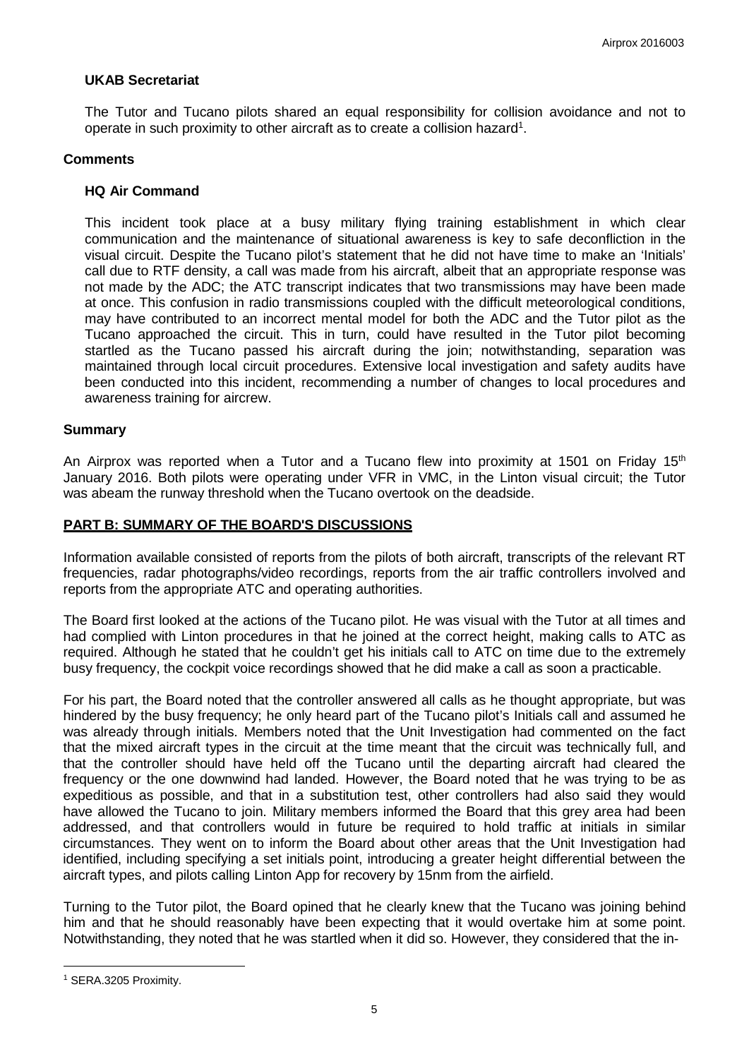## **UKAB Secretariat**

The Tutor and Tucano pilots shared an equal responsibility for collision avoidance and not to operate in such proximity to other aircraft as to create a collision hazard $^{\text{\tiny{1}}}$ .

## **Comments**

### **HQ Air Command**

This incident took place at a busy military flying training establishment in which clear communication and the maintenance of situational awareness is key to safe deconfliction in the visual circuit. Despite the Tucano pilot's statement that he did not have time to make an 'Initials' call due to RTF density, a call was made from his aircraft, albeit that an appropriate response was not made by the ADC; the ATC transcript indicates that two transmissions may have been made at once. This confusion in radio transmissions coupled with the difficult meteorological conditions, may have contributed to an incorrect mental model for both the ADC and the Tutor pilot as the Tucano approached the circuit. This in turn, could have resulted in the Tutor pilot becoming startled as the Tucano passed his aircraft during the join; notwithstanding, separation was maintained through local circuit procedures. Extensive local investigation and safety audits have been conducted into this incident, recommending a number of changes to local procedures and awareness training for aircrew.

### **Summary**

An Airprox was reported when a Tutor and a Tucano flew into proximity at 1501 on Friday 15<sup>th</sup> January 2016. Both pilots were operating under VFR in VMC, in the Linton visual circuit; the Tutor was abeam the runway threshold when the Tucano overtook on the deadside.

## **PART B: SUMMARY OF THE BOARD'S DISCUSSIONS**

Information available consisted of reports from the pilots of both aircraft, transcripts of the relevant RT frequencies, radar photographs/video recordings, reports from the air traffic controllers involved and reports from the appropriate ATC and operating authorities.

The Board first looked at the actions of the Tucano pilot. He was visual with the Tutor at all times and had complied with Linton procedures in that he joined at the correct height, making calls to ATC as required. Although he stated that he couldn't get his initials call to ATC on time due to the extremely busy frequency, the cockpit voice recordings showed that he did make a call as soon a practicable.

For his part, the Board noted that the controller answered all calls as he thought appropriate, but was hindered by the busy frequency; he only heard part of the Tucano pilot's Initials call and assumed he was already through initials. Members noted that the Unit Investigation had commented on the fact that the mixed aircraft types in the circuit at the time meant that the circuit was technically full, and that the controller should have held off the Tucano until the departing aircraft had cleared the frequency or the one downwind had landed. However, the Board noted that he was trying to be as expeditious as possible, and that in a substitution test, other controllers had also said they would have allowed the Tucano to join. Military members informed the Board that this grey area had been addressed, and that controllers would in future be required to hold traffic at initials in similar circumstances. They went on to inform the Board about other areas that the Unit Investigation had identified, including specifying a set initials point, introducing a greater height differential between the aircraft types, and pilots calling Linton App for recovery by 15nm from the airfield.

Turning to the Tutor pilot, the Board opined that he clearly knew that the Tucano was joining behind him and that he should reasonably have been expecting that it would overtake him at some point. Notwithstanding, they noted that he was startled when it did so. However, they considered that the in-

<span id="page-4-0"></span><sup>1</sup> SERA.3205 Proximity.